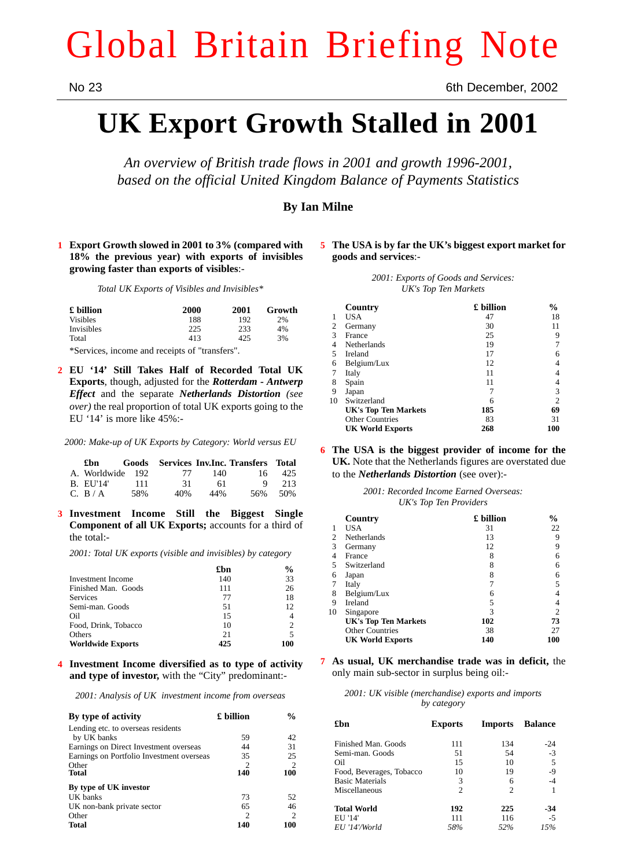# Global Britain Briefing Note

No 23 6th December, 2002

## **UK Export Growth Stalled in 2001**

*An overview of British trade flows in 2001 and growth 1996-2001, based on the official United Kingdom Balance of Payments Statistics*

### **By Ian Milne**

**1 Export Growth slowed in 2001 to 3% (compared with 18% the previous year) with exports of invisibles growing faster than exports of visibles**:-

*Total UK Exports of Visibles and Invisibles\**

| £ billion       | 2000 | 2001 | Growth |
|-----------------|------|------|--------|
| <b>Visibles</b> | 188  | 192  | 2%     |
| Invisibles      | 225  | 233  | 4%     |
| Total           | 413  | 425  | 3%     |

\*Services, income and receipts of "transfers".

**2 EU '14' Still Takes Half of Recorded Total UK Exports**, though, adjusted for the *Rotterdam - Antwerp Effect* and the separate *Netherlands Distortion (see over)* the real proportion of total UK exports going to the EU '14' is more like 45%:-

*2000: Make-up of UK Exports by Category: World versus EU*

|                  |     |     |     | £bn Goods Services Inv. Inc. Transfers Total |     |
|------------------|-----|-----|-----|----------------------------------------------|-----|
| A. Worldwide 192 |     | 77  | 140 | 16.                                          | 425 |
| B. EU'14'        | 111 | -31 | 61  | Q                                            | 213 |
| C. B / A         | 58% | 40% | 44% | 56%                                          | 50% |

**3 Investment Income Still the Biggest Single Component of all UK Exports;** accounts for a third of the total:-

*2001: Total UK exports (visible and invisibles) by category*

|                          | £bn | $\frac{0}{0}$  |
|--------------------------|-----|----------------|
| <b>Investment</b> Income | 140 | 33             |
| Finished Man. Goods      | 111 | 26             |
| Services                 | 77  | 18             |
| Semi-man. Goods          | 51  | 12             |
| Oil                      | 15  | 4              |
| Food, Drink, Tobacco     | 10  | 2              |
| Others                   | 21  | $\overline{5}$ |
| <b>Worldwide Exports</b> | 425 | 100            |

**4 Investment Income diversified as to type of activity and type of investor,** with the "City" predominant:-

*2001: Analysis of UK investment income from overseas*

| By type of activity                       | £ billion | $\frac{0}{0}$  |
|-------------------------------------------|-----------|----------------|
| Lending etc. to overseas residents        |           |                |
| by UK banks                               | 59        | 42             |
| Earnings on Direct Investment overseas    | 44        | 31             |
| Earnings on Portfolio Investment overseas | 35        | 25             |
| Other                                     | 2         | 2              |
| <b>Total</b>                              | 140       | 100            |
| By type of UK investor                    |           |                |
| UK banks                                  | 73        | 52             |
| UK non-bank private sector                | 65        | 46             |
| Other                                     | 2         | $\mathfrak{D}$ |
| <b>Total</b>                              | 140       | 100            |

#### **5 The USA is by far the UK's biggest export market for goods and services**:-

*2001: Exports of Goods and Services: UK's Top Ten Markets*

|    | Country                     | £ billion | %              |
|----|-----------------------------|-----------|----------------|
|    | USA                         | 47        | 18             |
| 2  | Germany                     | 30        | 11             |
| 3  | France                      | 25        | 9              |
|    | <b>Netherlands</b>          | 19        |                |
| 5  | Ireland                     | 17        | 6              |
| 6  | Belgium/Lux                 | 12        | 4              |
|    | Italy                       | 11        | 4              |
| 8  | Spain                       | 11        | 4              |
| 9  | Japan                       | 7         | 3              |
| 10 | Switzerland                 | 6         | $\overline{c}$ |
|    | <b>UK's Top Ten Markets</b> | 185       | 69             |
|    | <b>Other Countries</b>      | 83        | 31             |
|    | <b>UK World Exports</b>     | 268       | 100            |

**6 The USA is the biggest provider of income for the UK.** Note that the Netherlands figures are overstated due to the *Netherlands Distortion* (see over):-

|  |                        | 2001: Recorded Income Earned Overseas: |
|--|------------------------|----------------------------------------|
|  | UK's Top Ten Providers |                                        |

|    | Country                     | £ billion | $\frac{0}{0}$  |
|----|-----------------------------|-----------|----------------|
|    | USA                         | 31        | 22             |
| 2  | Netherlands                 | 13        | 9              |
| 3  | Germany                     | 12        | 9              |
| 4  | France                      | 8         | 6              |
| 5  | Switzerland                 | 8         | 6              |
| 6  | Japan                       | 8         | 6              |
|    | Italy                       |           | 5              |
| 8  | Belgium/Lux                 | 6         |                |
| 9  | Ireland                     | 5         |                |
| 10 | Singapore                   | 3         | $\overline{c}$ |
|    | <b>UK's Top Ten Markets</b> | 102       | 73             |
|    | <b>Other Countries</b>      | 38        | 27             |
|    | <b>UK World Exports</b>     | 140       | 100            |

**7 As usual, UK merchandise trade was in deficit,** the only main sub-sector in surplus being oil:-

|  |  |             | 2001: UK visible (merchandise) exports and imports |  |
|--|--|-------------|----------------------------------------------------|--|
|  |  | by category |                                                    |  |

| £hn                      | <b>Exports</b> | Imports        | <b>Balance</b> |
|--------------------------|----------------|----------------|----------------|
| Finished Man. Goods      | 111            | 134            | $-24$          |
| Semi-man. Goods          | 51             | 54             | $-3$           |
| Oil                      | 15             | 10             | 5              |
| Food, Beverages, Tobacco | 10             | 19             | $-9$           |
| <b>Basic Materials</b>   | 3              | 6              | $-4$           |
| Miscellaneous            | $\mathfrak{D}$ | $\mathfrak{D}$ |                |
| <b>Total World</b>       | 192            | 225            | -34            |
| EU '14'                  | 111            | 116            | $-5$           |
| EU '14'/World            | 58%            | 52%            | 15%            |